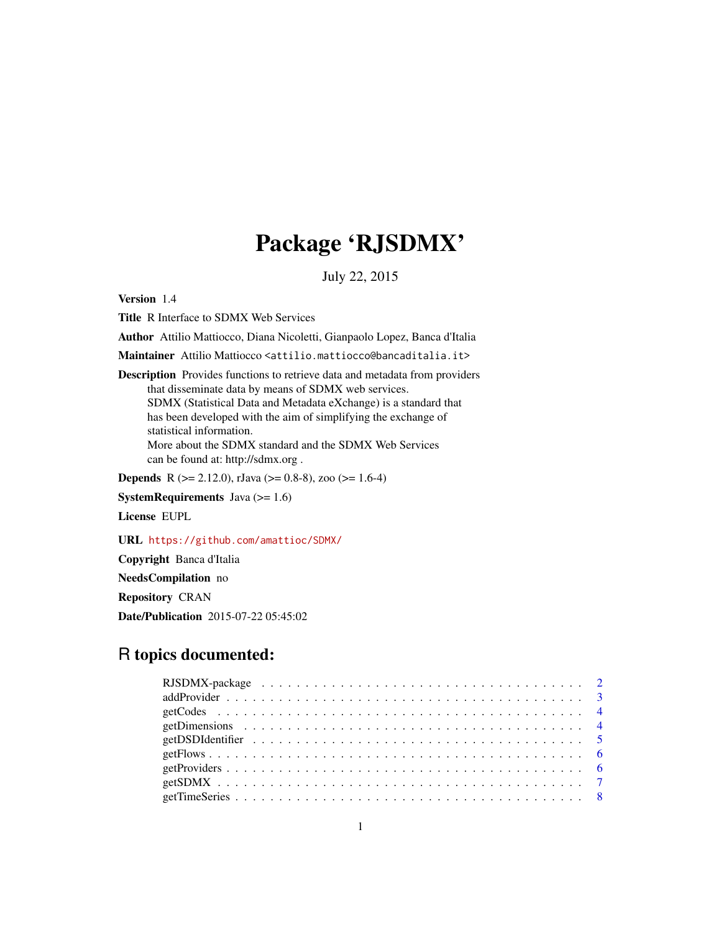# Package 'RJSDMX'

July 22, 2015

Version 1.4

Title R Interface to SDMX Web Services

Author Attilio Mattiocco, Diana Nicoletti, Gianpaolo Lopez, Banca d'Italia

Maintainer Attilio Mattiocco <attilio.mattiocco@bancaditalia.it>

Description Provides functions to retrieve data and metadata from providers that disseminate data by means of SDMX web services. SDMX (Statistical Data and Metadata eXchange) is a standard that has been developed with the aim of simplifying the exchange of statistical information. More about the SDMX standard and the SDMX Web Services can be found at: http://sdmx.org .

**Depends** R ( $>= 2.12.0$ ), rJava ( $>= 0.8-8$ ), zoo ( $>= 1.6-4$ )

SystemRequirements Java (>= 1.6)

License EUPL

URL <https://github.com/amattioc/SDMX/>

Copyright Banca d'Italia

NeedsCompilation no

Repository CRAN

Date/Publication 2015-07-22 05:45:02

# R topics documented: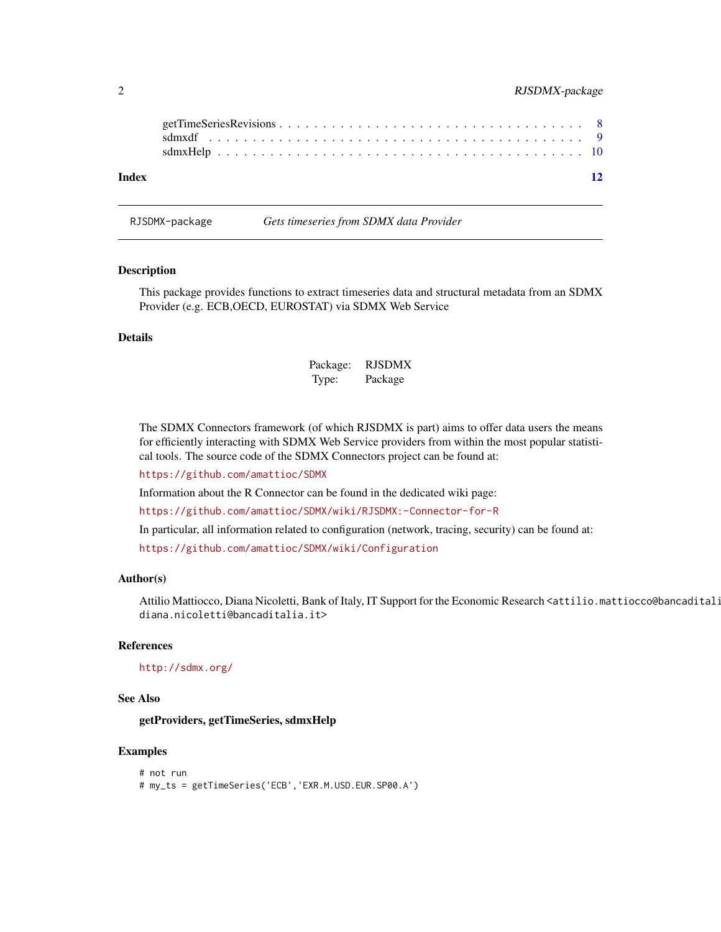<span id="page-1-0"></span>

| Index |  |  |  |  |  |  |  |  |  |  |  |  |  |  |  |  |  | 12 |
|-------|--|--|--|--|--|--|--|--|--|--|--|--|--|--|--|--|--|----|

#### RJSDMX-package *Gets timeseries from SDMX data Provider*

#### Description

This package provides functions to extract timeseries data and structural metadata from an SDMX Provider (e.g. ECB,OECD, EUROSTAT) via SDMX Web Service

#### Details

| Package: | <b>RJSDMX</b> |
|----------|---------------|
| Type:    | Package       |

The SDMX Connectors framework (of which RJSDMX is part) aims to offer data users the means for efficiently interacting with SDMX Web Service providers from within the most popular statistical tools. The source code of the SDMX Connectors project can be found at:

<https://github.com/amattioc/SDMX>

Information about the R Connector can be found in the dedicated wiki page:

<https://github.com/amattioc/SDMX/wiki/RJSDMX:-Connector-for-R>

In particular, all information related to configuration (network, tracing, security) can be found at:

<https://github.com/amattioc/SDMX/wiki/Configuration>

#### Author(s)

Attilio Mattiocco, Diana Nicoletti, Bank of Italy, IT Support for the Economic Research <attilio.mattiocco@bancaditali diana.nicoletti@bancaditalia.it>

#### References

#### <http://sdmx.org/>

#### See Also

getProviders, getTimeSeries, sdmxHelp

#### Examples

```
# not run
# my_ts = getTimeSeries('ECB','EXR.M.USD.EUR.SP00.A')
```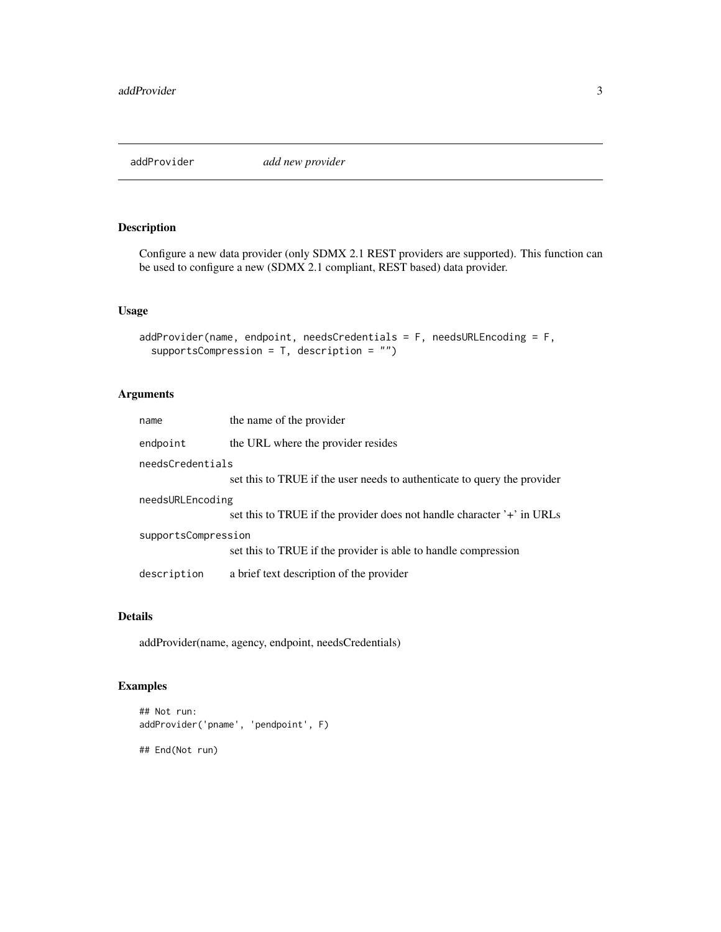<span id="page-2-0"></span>

#### Description

Configure a new data provider (only SDMX 2.1 REST providers are supported). This function can be used to configure a new (SDMX 2.1 compliant, REST based) data provider.

#### Usage

```
addProvider(name, endpoint, needsCredentials = F, needsURLEncoding = F,
  supportsCompression = T, description = "")
```
# Arguments

| name                                                                                  | the name of the provider                                                 |  |  |  |
|---------------------------------------------------------------------------------------|--------------------------------------------------------------------------|--|--|--|
| endpoint                                                                              | the URL where the provider resides                                       |  |  |  |
| needsCredentials                                                                      |                                                                          |  |  |  |
|                                                                                       | set this to TRUE if the user needs to authenticate to query the provider |  |  |  |
| needsURLEncoding                                                                      | set this to TRUE if the provider does not handle character '+' in URLs   |  |  |  |
| supportsCompression<br>set this to TRUE if the provider is able to handle compression |                                                                          |  |  |  |
| description                                                                           | a brief text description of the provider                                 |  |  |  |

# Details

addProvider(name, agency, endpoint, needsCredentials)

#### Examples

```
## Not run:
addProvider('pname', 'pendpoint', F)
```
## End(Not run)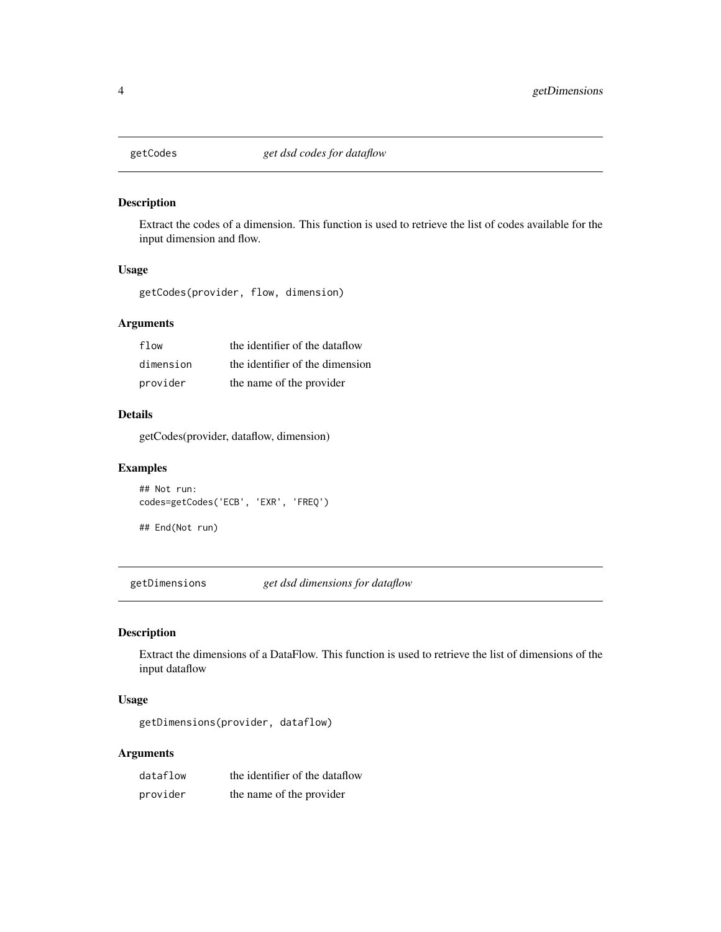<span id="page-3-0"></span>

# Description

Extract the codes of a dimension. This function is used to retrieve the list of codes available for the input dimension and flow.

#### Usage

getCodes(provider, flow, dimension)

# Arguments

| flow      | the identifier of the dataflow  |
|-----------|---------------------------------|
| dimension | the identifier of the dimension |
| provider  | the name of the provider        |

# Details

getCodes(provider, dataflow, dimension)

#### Examples

## Not run: codes=getCodes('ECB', 'EXR', 'FREQ')

## End(Not run)

getDimensions *get dsd dimensions for dataflow*

# Description

Extract the dimensions of a DataFlow. This function is used to retrieve the list of dimensions of the input dataflow

# Usage

getDimensions(provider, dataflow)

#### Arguments

| dataflow | the identifier of the dataflow |
|----------|--------------------------------|
| provider | the name of the provider       |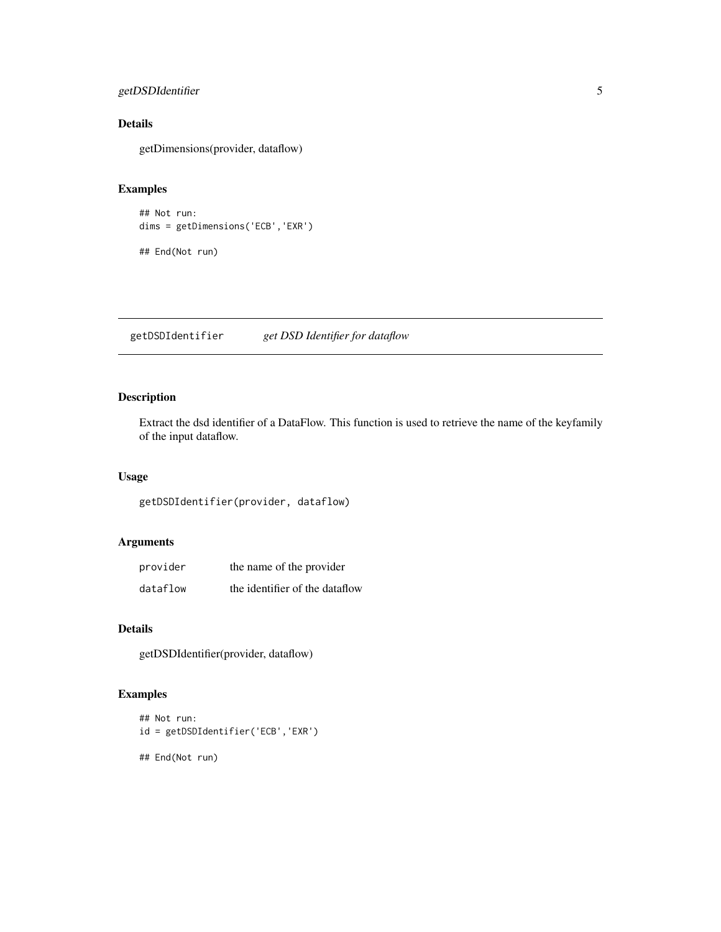# <span id="page-4-0"></span>getDSDIdentifier 5

# Details

getDimensions(provider, dataflow)

# Examples

```
## Not run:
dims = getDimensions('ECB','EXR')
## End(Not run)
```
getDSDIdentifier *get DSD Identifier for dataflow*

# Description

Extract the dsd identifier of a DataFlow. This function is used to retrieve the name of the keyfamily of the input dataflow.

# Usage

getDSDIdentifier(provider, dataflow)

# Arguments

| provider | the name of the provider       |
|----------|--------------------------------|
| dataflow | the identifier of the dataflow |

# Details

getDSDIdentifier(provider, dataflow)

# Examples

```
## Not run:
id = getDSDIdentifier('ECB','EXR')
## End(Not run)
```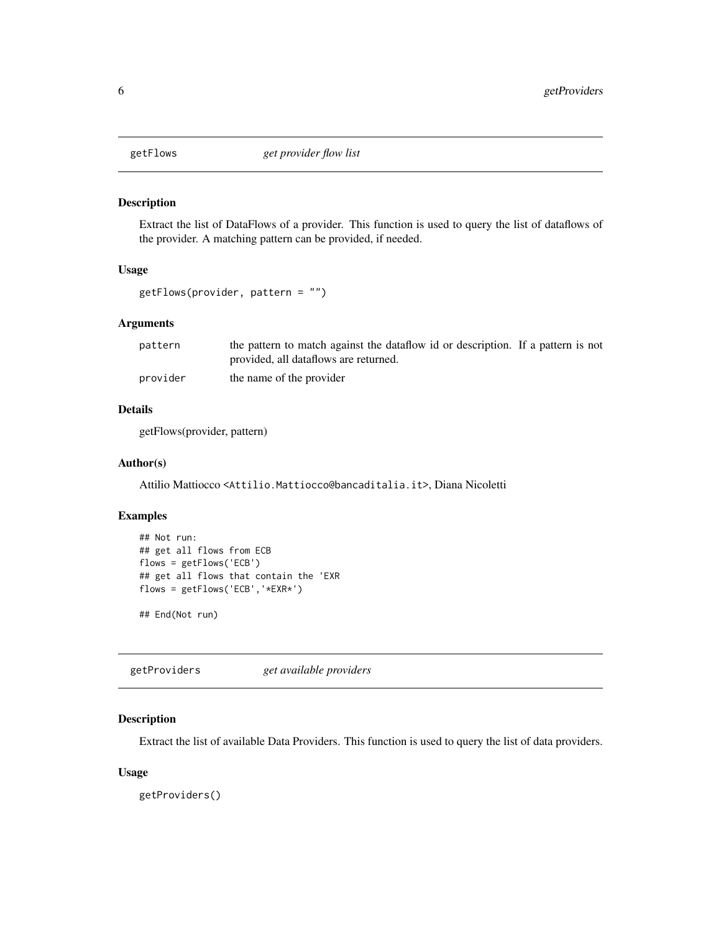<span id="page-5-0"></span>

#### Description

Extract the list of DataFlows of a provider. This function is used to query the list of dataflows of the provider. A matching pattern can be provided, if needed.

#### Usage

```
getFlows(provider, pattern = "")
```
# Arguments

| pattern  | the pattern to match against the data flow id or description. If a pattern is not |  |
|----------|-----------------------------------------------------------------------------------|--|
|          | provided, all dataflows are returned.                                             |  |
| provider | the name of the provider                                                          |  |

# Details

getFlows(provider, pattern)

#### Author(s)

Attilio Mattiocco <Attilio.Mattiocco@bancaditalia.it>, Diana Nicoletti

#### Examples

```
## Not run:
## get all flows from ECB
flows = getFlows('ECB')
## get all flows that contain the 'EXR
flows = getFlows('ECB','*EXR*')
```
## End(Not run)

getProviders *get available providers*

# Description

Extract the list of available Data Providers. This function is used to query the list of data providers.

# Usage

getProviders()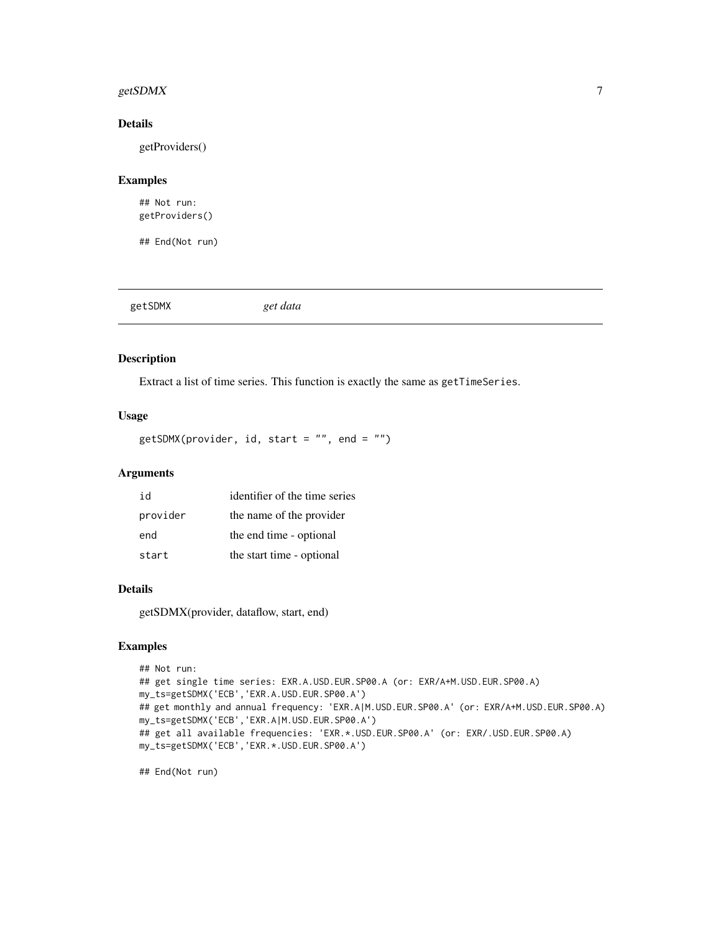# <span id="page-6-0"></span>getSDMX 7

# Details

getProviders()

# Examples

## Not run: getProviders()

## End(Not run)

getSDMX *get data*

# Description

Extract a list of time series. This function is exactly the same as getTimeSeries.

#### Usage

```
getSDMX(provider, id, start = "", end = "")
```
# Arguments

| id       | identifier of the time series |
|----------|-------------------------------|
| provider | the name of the provider      |
| end      | the end time - optional       |
| start    | the start time - optional     |

# Details

getSDMX(provider, dataflow, start, end)

# Examples

```
## Not run:
## get single time series: EXR.A.USD.EUR.SP00.A (or: EXR/A+M.USD.EUR.SP00.A)
my_ts=getSDMX('ECB','EXR.A.USD.EUR.SP00.A')
## get monthly and annual frequency: 'EXR.A|M.USD.EUR.SP00.A' (or: EXR/A+M.USD.EUR.SP00.A)
my_ts=getSDMX('ECB','EXR.A|M.USD.EUR.SP00.A')
## get all available frequencies: 'EXR.*.USD.EUR.SP00.A' (or: EXR/.USD.EUR.SP00.A)
my_ts=getSDMX('ECB','EXR.*.USD.EUR.SP00.A')
```
## End(Not run)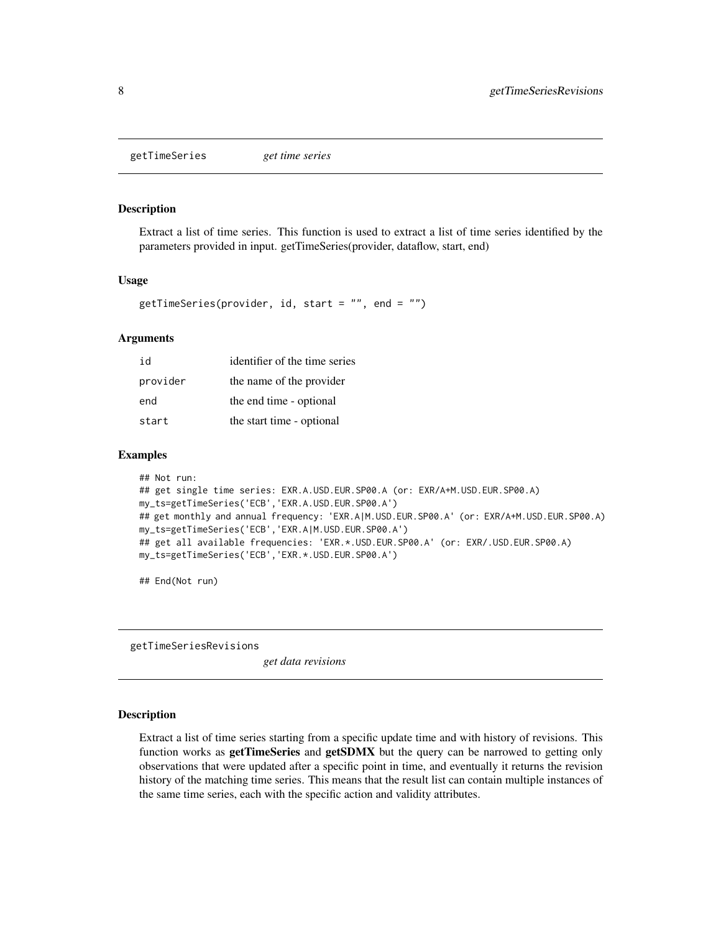<span id="page-7-0"></span>getTimeSeries *get time series*

#### Description

Extract a list of time series. This function is used to extract a list of time series identified by the parameters provided in input. getTimeSeries(provider, dataflow, start, end)

#### Usage

```
getTimeSeries(provider, id, start = ", end = ")
```
#### Arguments

| id       | identifier of the time series |
|----------|-------------------------------|
| provider | the name of the provider      |
| end      | the end time - optional       |
| start    | the start time - optional     |

#### Examples

```
## Not run:
## get single time series: EXR.A.USD.EUR.SP00.A (or: EXR/A+M.USD.EUR.SP00.A)
my_ts=getTimeSeries('ECB','EXR.A.USD.EUR.SP00.A')
## get monthly and annual frequency: 'EXR.A|M.USD.EUR.SP00.A' (or: EXR/A+M.USD.EUR.SP00.A)
my_ts=getTimeSeries('ECB','EXR.A|M.USD.EUR.SP00.A')
## get all available frequencies: 'EXR.*.USD.EUR.SP00.A' (or: EXR/.USD.EUR.SP00.A)
my_ts=getTimeSeries('ECB','EXR.*.USD.EUR.SP00.A')
```
## End(Not run)

getTimeSeriesRevisions

*get data revisions*

#### Description

Extract a list of time series starting from a specific update time and with history of revisions. This function works as **getTimeSeries** and **getSDMX** but the query can be narrowed to getting only observations that were updated after a specific point in time, and eventually it returns the revision history of the matching time series. This means that the result list can contain multiple instances of the same time series, each with the specific action and validity attributes.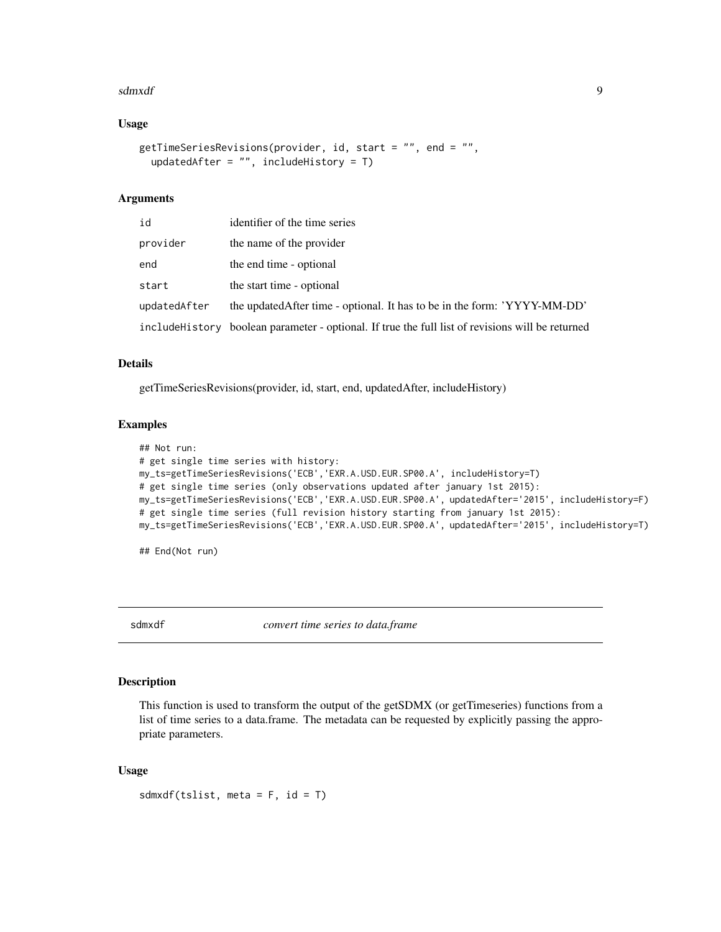#### <span id="page-8-0"></span>sdmxdf 9

#### Usage

```
getTimeSeriesRevisions(provider, id, start = "", end = "",
  updatedAfter = ", includeHistory = T)
```
#### Arguments

| id           | identifier of the time series                                                                     |
|--------------|---------------------------------------------------------------------------------------------------|
| provider     | the name of the provider                                                                          |
| end          | the end time - optional                                                                           |
| start        | the start time - optional                                                                         |
| updatedAfter | the updated After time - optional. It has to be in the form: 'YYYY-MM-DD'                         |
|              | include History boolean parameter - optional. If true the full list of revisions will be returned |

#### Details

getTimeSeriesRevisions(provider, id, start, end, updatedAfter, includeHistory)

#### Examples

```
## Not run:
# get single time series with history:
my_ts=getTimeSeriesRevisions('ECB','EXR.A.USD.EUR.SP00.A', includeHistory=T)
# get single time series (only observations updated after january 1st 2015):
my_ts=getTimeSeriesRevisions('ECB','EXR.A.USD.EUR.SP00.A', updatedAfter='2015', includeHistory=F)
# get single time series (full revision history starting from january 1st 2015):
my_ts=getTimeSeriesRevisions('ECB','EXR.A.USD.EUR.SP00.A', updatedAfter='2015', includeHistory=T)
```
## End(Not run)

sdmxdf *convert time series to data.frame*

#### Description

This function is used to transform the output of the getSDMX (or getTimeseries) functions from a list of time series to a data.frame. The metadata can be requested by explicitly passing the appropriate parameters.

#### Usage

sdmxdf(tslist, meta =  $F$ , id =  $T$ )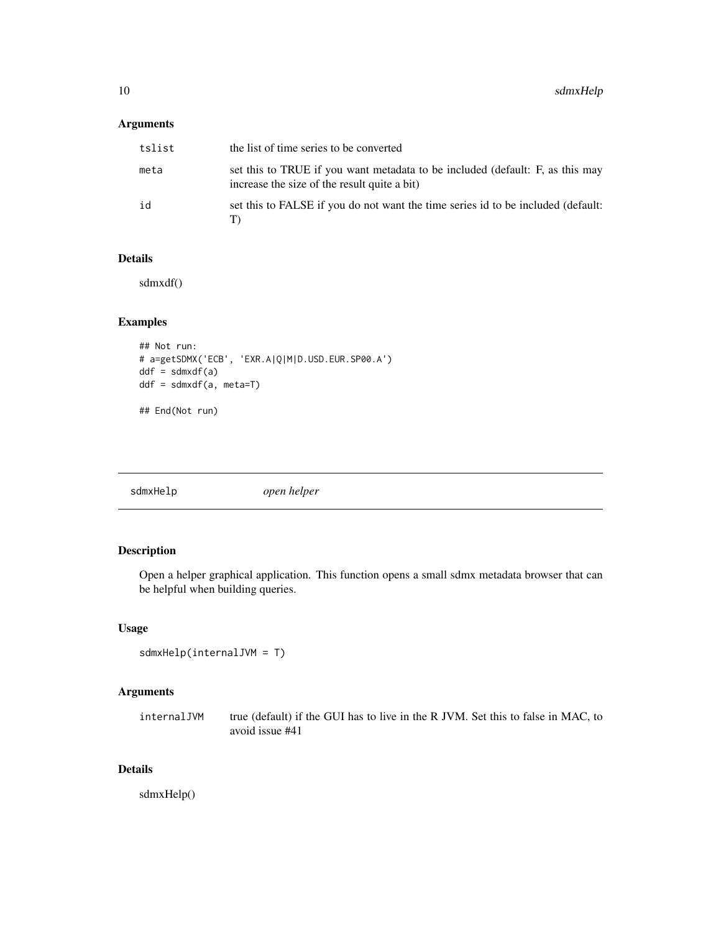#### <span id="page-9-0"></span>Arguments

| tslist | the list of time series to be converted                                                                                       |
|--------|-------------------------------------------------------------------------------------------------------------------------------|
| meta   | set this to TRUE if you want metadata to be included (default: F, as this may<br>increase the size of the result quite a bit) |
| id     | set this to FALSE if you do not want the time series id to be included (default:                                              |

#### Details

sdmxdf()

# Examples

```
## Not run:
# a=getSDMX('ECB', 'EXR.A|Q|M|D.USD.EUR.SP00.A')
ddf = sdmxdf(a)ddf = sdmxdf(a, meta=T)
## End(Not run)
```
# Description

Open a helper graphical application. This function opens a small sdmx metadata browser that can be helpful when building queries.

#### Usage

```
sdmxHelp(internalJVM = T)
```
# Arguments

internalJVM true (default) if the GUI has to live in the R JVM. Set this to false in MAC, to avoid issue #41

#### Details

sdmxHelp()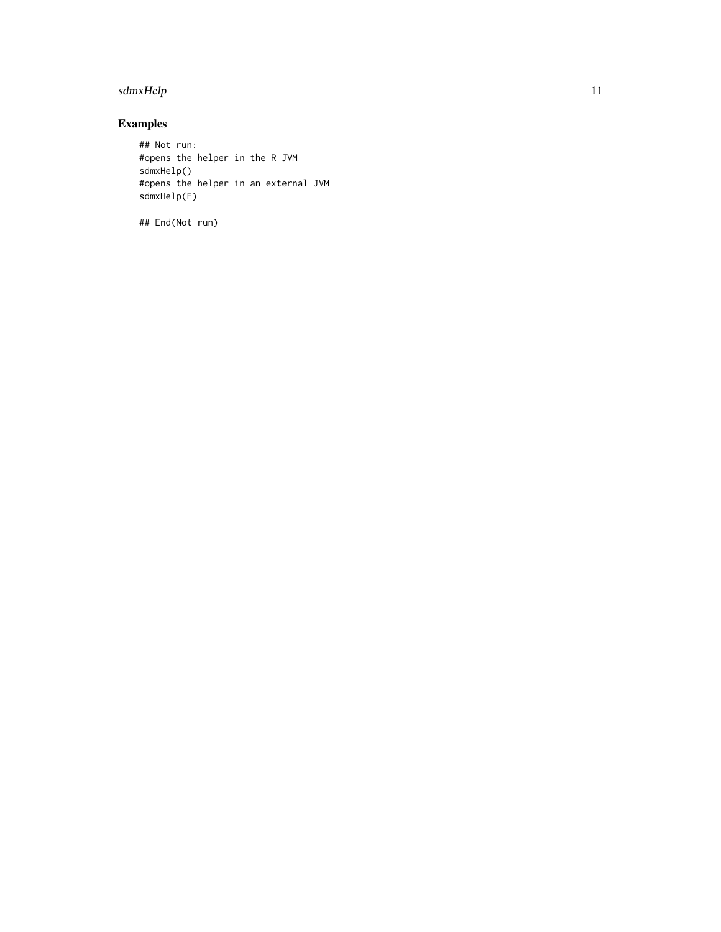# sdmxHelp 11

# Examples

## Not run: #opens the helper in the R JVM sdmxHelp() #opens the helper in an external JVM sdmxHelp(F)

## End(Not run)